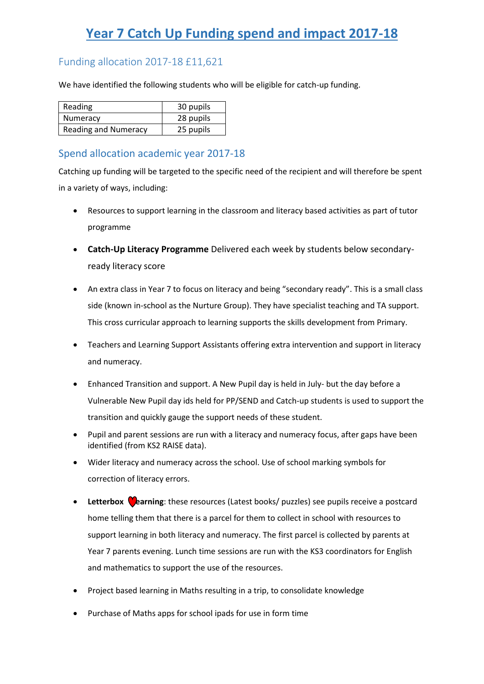# **Year 7 Catch Up Funding spend and impact 2017-18**

## Funding allocation 2017-18 £11,621

We have identified the following students who will be eligible for catch-up funding.

| Reading                     | 30 pupils |
|-----------------------------|-----------|
| Numeracy                    | 28 pupils |
| <b>Reading and Numeracy</b> | 25 pupils |

## Spend allocation academic year 2017-18

Catching up funding will be targeted to the specific need of the recipient and will therefore be spent in a variety of ways, including:

- Resources to support learning in the classroom and literacy based activities as part of tutor programme
- **Catch-Up Literacy Programme** Delivered each week by students below secondaryready literacy score
- An extra class in Year 7 to focus on literacy and being "secondary ready". This is a small class side (known in-school as the Nurture Group). They have specialist teaching and TA support. This cross curricular approach to learning supports the skills development from Primary.
- Teachers and Learning Support Assistants offering extra intervention and support in literacy and numeracy.
- Enhanced Transition and support. A New Pupil day is held in July- but the day before a Vulnerable New Pupil day ids held for PP/SEND and Catch-up students is used to support the transition and quickly gauge the support needs of these student.
- Pupil and parent sessions are run with a literacy and numeracy focus, after gaps have been identified (from KS2 RAISE data).
- Wider literacy and numeracy across the school. Use of school marking symbols for correction of literacy errors.
- **Letterbox Cearning**: these resources (Latest books/ puzzles) see pupils receive a postcard home telling them that there is a parcel for them to collect in school with resources to support learning in both literacy and numeracy. The first parcel is collected by parents at Year 7 parents evening. Lunch time sessions are run with the KS3 coordinators for English and mathematics to support the use of the resources.
- Project based learning in Maths resulting in a trip, to consolidate knowledge
- Purchase of Maths apps for school ipads for use in form time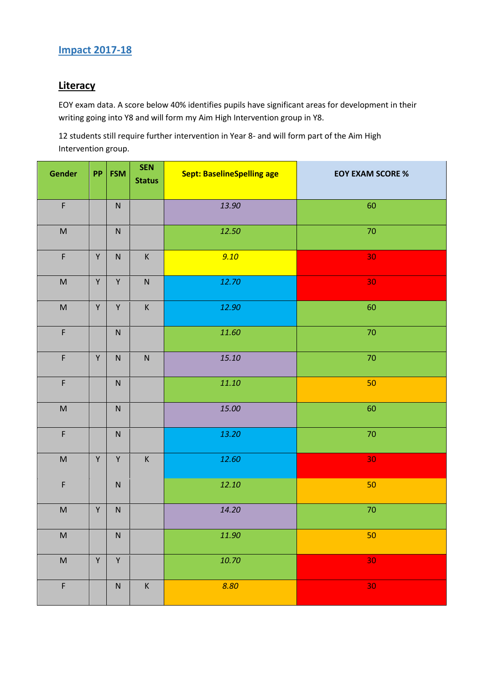## **Impact 2017-18**

## **Literacy**

EOY exam data. A score below 40% identifies pupils have significant areas for development in their writing going into Y8 and will form my Aim High Intervention group in Y8.

12 students still require further intervention in Year 8- and will form part of the Aim High Intervention group.

| Gender                                                                                                     | PP          | <b>FSM</b>  | <b>SEN</b><br><b>Status</b> | <b>Sept: BaselineSpelling age</b> | <b>EOY EXAM SCORE %</b> |
|------------------------------------------------------------------------------------------------------------|-------------|-------------|-----------------------------|-----------------------------------|-------------------------|
| $\mathsf F$                                                                                                |             | ${\sf N}$   |                             | 13.90                             | 60                      |
| $\mathsf{M}% _{T}=\mathsf{M}_{T}\!\left( a,b\right) ,\ \mathsf{M}_{T}=\mathsf{M}_{T}\!\left( a,b\right) ,$ |             | ${\sf N}$   |                             | 12.50                             | 70                      |
| $\mathsf F$                                                                                                | Υ           | ${\sf N}$   | $\mathsf K$                 | 9.10                              | 30                      |
| $\mathsf{M}% _{T}=\mathsf{M}_{T}\!\left( a,b\right) ,\ \mathsf{M}_{T}=\mathsf{M}_{T}\!\left( a,b\right) ,$ | Υ           | $\mathsf Y$ | ${\sf N}$                   | 12.70                             | 30                      |
| $\mathsf{M}% _{T}=\mathsf{M}_{T}\!\left( a,b\right) ,\ \mathsf{M}_{T}=\mathsf{M}_{T}\!\left( a,b\right) ,$ | $\mathsf Y$ | $\mathsf Y$ | $\sf K$                     | 12.90                             | 60                      |
| $\mathsf F$                                                                                                |             | ${\sf N}$   |                             | 11.60                             | 70                      |
| $\mathsf F$                                                                                                | Y           | ${\sf N}$   | ${\sf N}$                   | 15.10                             | 70                      |
| $\mathsf F$                                                                                                |             | ${\sf N}$   |                             | 11.10                             | 50                      |
| $\mathsf{M}% _{T}=\mathsf{M}_{T}\!\left( a,b\right) ,\ \mathsf{M}_{T}=\mathsf{M}_{T}\!\left( a,b\right) ,$ |             | ${\sf N}$   |                             | 15.00                             | 60                      |
| F                                                                                                          |             | ${\sf N}$   |                             | 13.20                             | $70\,$                  |
| $\mathsf{M}% _{T}=\mathsf{M}_{T}\!\left( a,b\right) ,\ \mathsf{M}_{T}=\mathsf{M}_{T}\!\left( a,b\right) ,$ | $\mathsf Y$ | $\mathsf Y$ | $\sf K$                     | 12.60                             | 30                      |
| $\mathsf F$                                                                                                |             | ${\sf N}$   |                             | 12.10                             | 50                      |
| ${\sf M}$                                                                                                  | $\mathsf Y$ | ${\sf N}$   |                             | 14.20                             | 70                      |
| ${\sf M}$                                                                                                  |             | ${\sf N}$   |                             | $11.90\,$                         | 50                      |
| $\sf M$                                                                                                    | $\mathsf Y$ | $\mathsf Y$ |                             | 10.70                             | 30                      |
| F                                                                                                          |             | ${\sf N}$   | $\sf K$                     | 8.80                              | 30                      |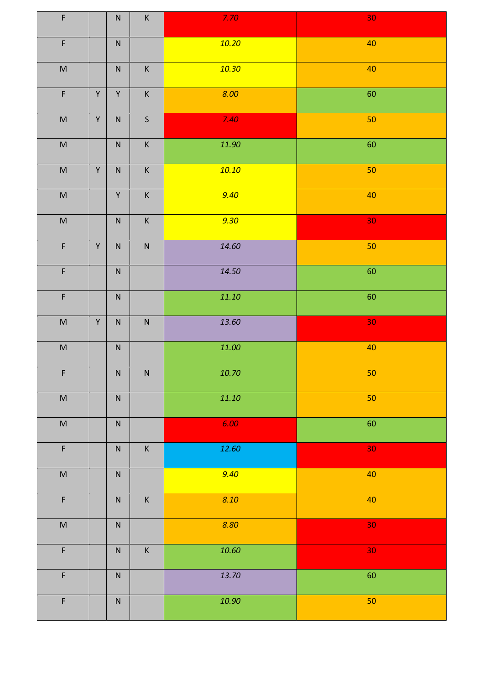| $\mathsf F$                                                                                                |              | ${\sf N}$    | $\sf K$      | 7.70      | $30\,$          |
|------------------------------------------------------------------------------------------------------------|--------------|--------------|--------------|-----------|-----------------|
| $\mathsf F$                                                                                                |              | ${\sf N}$    |              | 10.20     | 40              |
| $\sf M$                                                                                                    |              | ${\sf N}$    | $\mathsf K$  | 10.30     | 40              |
| $\mathsf F$                                                                                                | $\mathsf Y$  | $\mathsf Y$  | $\mathsf K$  | 8.00      | 60              |
| $\sf M$                                                                                                    | $\mathsf Y$  | ${\sf N}$    | $\mathsf{S}$ | 7.40      | 50              |
| $\sf M$                                                                                                    |              | ${\sf N}$    | $\mathsf K$  | 11.90     | 60              |
| $\sf M$                                                                                                    | $\mathsf Y$  | ${\sf N}$    | $\mathsf K$  | 10.10     | 50              |
| $\sf M$                                                                                                    |              | $\mathsf{Y}$ | $\mathsf K$  | 9.40      | 40              |
| $\sf M$                                                                                                    |              | ${\sf N}$    | $\mathsf K$  | 9.30      | 30              |
| $\mathsf F$                                                                                                | $\mathsf Y$  | ${\sf N}$    | ${\sf N}$    | 14.60     | 50              |
| $\mathsf F$                                                                                                |              | ${\sf N}$    |              | 14.50     | 60              |
| $\mathsf F$                                                                                                |              | ${\sf N}$    |              | 11.10     | 60              |
| $\sf M$                                                                                                    | $\mathsf{Y}$ | ${\sf N}$    | ${\sf N}$    | 13.60     | 30 <sub>o</sub> |
| $\sf M$                                                                                                    |              | ${\sf N}$    |              | 11.00     | $40\,$          |
| $\mathsf F$                                                                                                |              | ${\sf N}$    | ${\sf N}$    | 10.70     | $50\,$          |
| $\sf M$                                                                                                    |              | ${\sf N}$    |              | $11.10\,$ | 50              |
| $\sf M$                                                                                                    |              | ${\sf N}$    |              | 6.00      | 60              |
| $\mathsf F$                                                                                                |              | ${\sf N}$    | $\sf K$      | 12.60     | 30              |
| $\mathsf{M}% _{T}=\mathsf{M}_{T}\!\left( a,b\right) ,\ \mathsf{M}_{T}=\mathsf{M}_{T}\!\left( a,b\right) ,$ |              | ${\sf N}$    |              | 9.40      | 40              |
| $\overline{\mathsf{F}}$                                                                                    |              | ${\sf N}$    | $\sf K$      | 8.10      | $40\,$          |
| $\sf M$                                                                                                    |              | ${\sf N}$    |              | 8.80      | 30              |
| $\mathsf F$                                                                                                |              | ${\sf N}$    | $\sf K$      | $10.60\,$ | 30              |
| $\mathsf F$                                                                                                |              | ${\sf N}$    |              | 13.70     | 60              |
| $\overline{F}$                                                                                             |              | ${\sf N}$    |              | 10.90     | 50              |